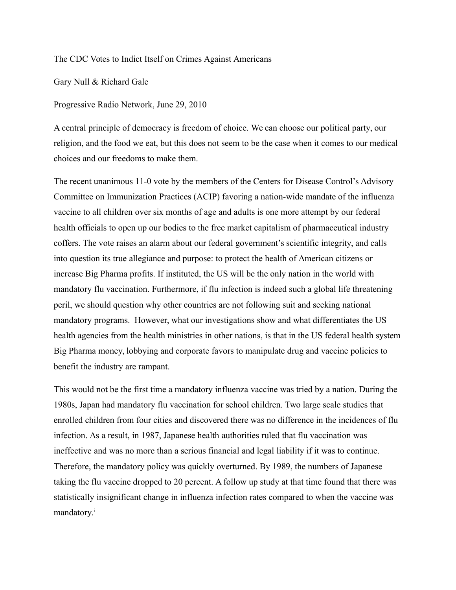## The CDC Votes to Indict Itself on Crimes Against Americans

Gary Null & Richard Gale

Progressive Radio Network, June 29, 2010

A central principle of democracy is freedom of choice. We can choose our political party, our religion, and the food we eat, but this does not seem to be the case when it comes to our medical choices and our freedoms to make them.

The recent unanimous 11-0 vote by the members of the Centers for Disease Control's Advisory Committee on Immunization Practices (ACIP) favoring a nation-wide mandate of the influenza vaccine to all children over six months of age and adults is one more attempt by our federal health officials to open up our bodies to the free market capitalism of pharmaceutical industry coffers. The vote raises an alarm about our federal government's scientific integrity, and calls into question its true allegiance and purpose: to protect the health of American citizens or increase Big Pharma profits. If instituted, the US will be the only nation in the world with mandatory flu vaccination. Furthermore, if flu infection is indeed such a global life threatening peril, we should question why other countries are not following suit and seeking national mandatory programs. However, what our investigations show and what differentiates the US health agencies from the health ministries in other nations, is that in the US federal health system Big Pharma money, lobbying and corporate favors to manipulate drug and vaccine policies to benefit the industry are rampant.

This would not be the first time a mandatory influenza vaccine was tried by a nation. During the 1980s, Japan had mandatory flu vaccination for school children. Two large scale studies that enrolled children from four cities and discovered there was no difference in the incidences of flu infection. As a result, in 1987, Japanese health authorities ruled that flu vaccination was ineffective and was no more than a serious financial and legal liability if it was to continue. Therefore, the mandatory policy was quickly overturned. By 1989, the numbers of Japanese taking the flu vaccine dropped to 20 percent. A follow up study at that time found that there was statistically insignificant change in influenza infection rates compared to when the vaccine was mandatory.<sup>i</sup>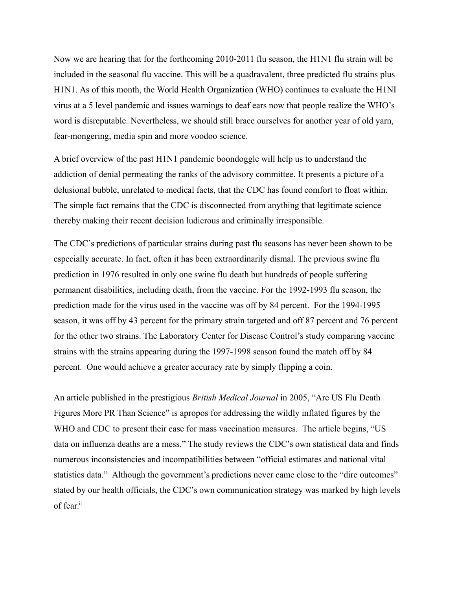Now we are hearing that for the forthcoming 2010-2011 flu season, the H1N1 flu strain will be included in the seasonal flu vaccine. This will be a quadravalent, three predicted flu strains plus H1N1. As of this month, the World Health Organization (WHO) continues to evaluate the H1NI virus at a 5 level pandemic and issues warnings to deaf ears now that people realize the WHO's word is disreputable. Nevertheless, we should still brace ourselves for another year of old yarn, fear-mongering, media spin and more voodoo science.

A brief overview of the past H1N1 pandemic boondoggle will help us to understand the addiction of denial permeating the ranks of the advisory committee. It presents a picture of a delusional bubble, unrelated to medical facts, that the CDC has found comfort to float within. The simple fact remains that the CDC is disconnected from anything that legitimate science thereby making their recent decision ludicrous and criminally irresponsible.

The CDC's predictions of particular strains during past flu seasons has never been shown to be especially accurate. In fact, often it has been extraordinarily dismal. The previous swine flu prediction in 1976 resulted in only one swine flu death but hundreds of people suffering permanent disabilities, including death, from the vaccine. For the 1992-1993 flu season, the prediction made for the virus used in the vaccine was off by 84 percent. For the 1994-1995 season, it was off by 43 percent for the primary strain targeted and off 87 percent and 76 percent for the other two strains. The Laboratory Center for Disease Control's study comparing vaccine strains with the strains appearing during the 1997-1998 season found the match off by 84 percent. One would achieve a greater accuracy rate by simply flipping a coin.

An article published in the prestigious *British Medical Journal* in 2005, "Are US Flu Death Figures More PR Than Science" is apropos for addressing the wildly inflated figures by the WHO and CDC to present their case for mass vaccination measures. The article begins, "US data on influenza deaths are a mess." The study reviews the CDC's own statistical data and finds numerous inconsistencies and incompatibilities between "official estimates and national vital statistics data." Although the government's predictions never came close to the "dire outcomes" stated by our health officials, the CDC's own communication strategy was marked by high levels of fear.<sup>ii</sup>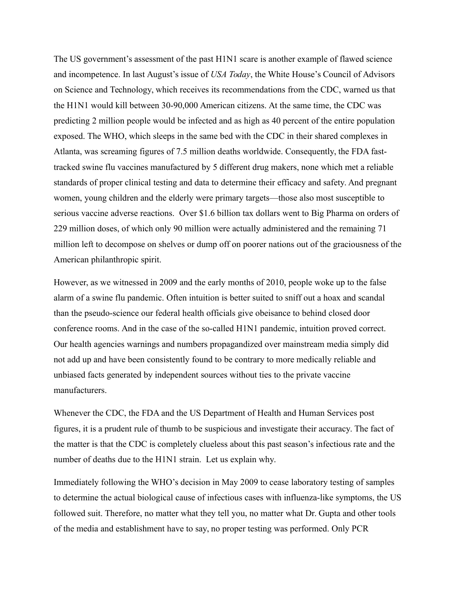The US government's assessment of the past H1N1 scare is another example of flawed science and incompetence. In last August's issue of *USA Today*, the White House's Council of Advisors on Science and Technology, which receives its recommendations from the CDC, warned us that the H1N1 would kill between 30-90,000 American citizens. At the same time, the CDC was predicting 2 million people would be infected and as high as 40 percent of the entire population exposed. The WHO, which sleeps in the same bed with the CDC in their shared complexes in Atlanta, was screaming figures of 7.5 million deaths worldwide. Consequently, the FDA fasttracked swine flu vaccines manufactured by 5 different drug makers, none which met a reliable standards of proper clinical testing and data to determine their efficacy and safety. And pregnant women, young children and the elderly were primary targets—those also most susceptible to serious vaccine adverse reactions. Over \$1.6 billion tax dollars went to Big Pharma on orders of 229 million doses, of which only 90 million were actually administered and the remaining 71 million left to decompose on shelves or dump off on poorer nations out of the graciousness of the American philanthropic spirit.

However, as we witnessed in 2009 and the early months of 2010, people woke up to the false alarm of a swine flu pandemic. Often intuition is better suited to sniff out a hoax and scandal than the pseudo-science our federal health officials give obeisance to behind closed door conference rooms. And in the case of the so-called H1N1 pandemic, intuition proved correct. Our health agencies warnings and numbers propagandized over mainstream media simply did not add up and have been consistently found to be contrary to more medically reliable and unbiased facts generated by independent sources without ties to the private vaccine manufacturers.

Whenever the CDC, the FDA and the US Department of Health and Human Services post figures, it is a prudent rule of thumb to be suspicious and investigate their accuracy. The fact of the matter is that the CDC is completely clueless about this past season's infectious rate and the number of deaths due to the H1N1 strain. Let us explain why.

Immediately following the WHO's decision in May 2009 to cease laboratory testing of samples to determine the actual biological cause of infectious cases with influenza-like symptoms, the US followed suit. Therefore, no matter what they tell you, no matter what Dr. Gupta and other tools of the media and establishment have to say, no proper testing was performed. Only PCR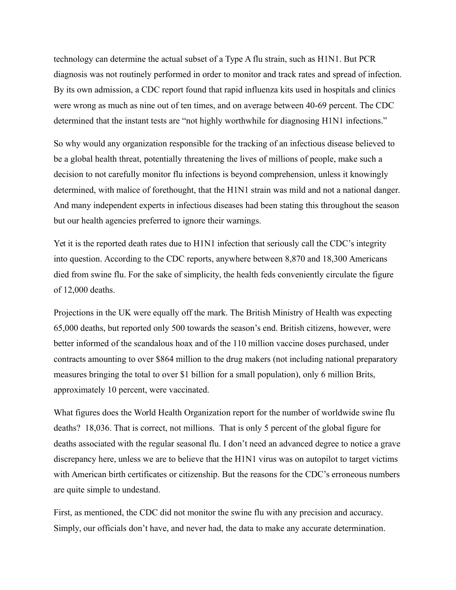technology can determine the actual subset of a Type A flu strain, such as H1N1. But PCR diagnosis was not routinely performed in order to monitor and track rates and spread of infection. By its own admission, a CDC report found that rapid influenza kits used in hospitals and clinics were wrong as much as nine out of ten times, and on average between 40-69 percent. The CDC determined that the instant tests are "not highly worthwhile for diagnosing H1N1 infections."

So why would any organization responsible for the tracking of an infectious disease believed to be a global health threat, potentially threatening the lives of millions of people, make such a decision to not carefully monitor flu infections is beyond comprehension, unless it knowingly determined, with malice of forethought, that the H1N1 strain was mild and not a national danger. And many independent experts in infectious diseases had been stating this throughout the season but our health agencies preferred to ignore their warnings.

Yet it is the reported death rates due to H1N1 infection that seriously call the CDC's integrity into question. According to the CDC reports, anywhere between 8,870 and 18,300 Americans died from swine flu. For the sake of simplicity, the health feds conveniently circulate the figure of 12,000 deaths.

Projections in the UK were equally off the mark. The British Ministry of Health was expecting 65,000 deaths, but reported only 500 towards the season's end. British citizens, however, were better informed of the scandalous hoax and of the 110 million vaccine doses purchased, under contracts amounting to over \$864 million to the drug makers (not including national preparatory measures bringing the total to over \$1 billion for a small population), only 6 million Brits, approximately 10 percent, were vaccinated.

What figures does the World Health Organization report for the number of worldwide swine flu deaths? 18,036. That is correct, not millions. That is only 5 percent of the global figure for deaths associated with the regular seasonal flu. I don't need an advanced degree to notice a grave discrepancy here, unless we are to believe that the H1N1 virus was on autopilot to target victims with American birth certificates or citizenship. But the reasons for the CDC's erroneous numbers are quite simple to undestand.

First, as mentioned, the CDC did not monitor the swine flu with any precision and accuracy. Simply, our officials don't have, and never had, the data to make any accurate determination.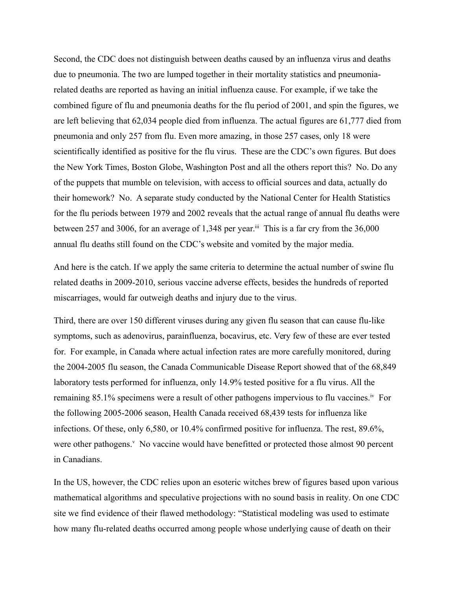Second, the CDC does not distinguish between deaths caused by an influenza virus and deaths due to pneumonia. The two are lumped together in their mortality statistics and pneumoniarelated deaths are reported as having an initial influenza cause. For example, if we take the combined figure of flu and pneumonia deaths for the flu period of 2001, and spin the figures, we are left believing that 62,034 people died from influenza. The actual figures are 61,777 died from pneumonia and only 257 from flu. Even more amazing, in those 257 cases, only 18 were scientifically identified as positive for the flu virus. These are the CDC's own figures. But does the New York Times, Boston Globe, Washington Post and all the others report this? No. Do any of the puppets that mumble on television, with access to official sources and data, actually do their homework? No. A separate study conducted by the National Center for Health Statistics for the flu periods between 1979 and 2002 reveals that the actual range of annual flu deaths were between 257 and 3006, for an average of 1,348 per year.<sup>iii</sup> This is a far cry from the 36,000 annual flu deaths still found on the CDC's website and vomited by the major media.

And here is the catch. If we apply the same criteria to determine the actual number of swine flu related deaths in 2009-2010, serious vaccine adverse effects, besides the hundreds of reported miscarriages, would far outweigh deaths and injury due to the virus.

Third, there are over 150 different viruses during any given flu season that can cause flu-like symptoms, such as adenovirus, parainfluenza, bocavirus, etc. Very few of these are ever tested for. For example, in Canada where actual infection rates are more carefully monitored, during the 2004-2005 flu season, the Canada Communicable Disease Report showed that of the 68,849 laboratory tests performed for influenza, only 14.9% tested positive for a flu virus. All the remaining 85.1% specimens were a result of other pathogens impervious to flu vaccines.<sup>iv</sup> For the following 2005-2006 season, Health Canada received 68,439 tests for influenza like infections. Of these, only 6,580, or 10.4% confirmed positive for influenza. The rest, 89.6%, were other pathogens.<sup>v</sup> No vaccine would have benefitted or protected those almost 90 percent in Canadians.

In the US, however, the CDC relies upon an esoteric witches brew of figures based upon various mathematical algorithms and speculative projections with no sound basis in reality. On one CDC site we find evidence of their flawed methodology: "Statistical modeling was used to estimate how many flu-related deaths occurred among people whose underlying cause of death on their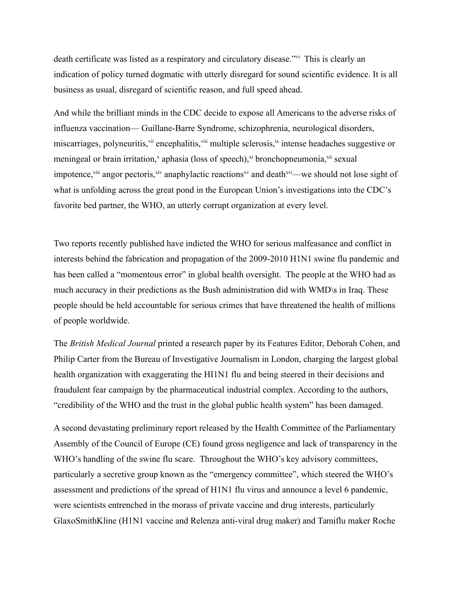death certificate was listed as a respiratory and circulatory disease."vi This is clearly an indication of policy turned dogmatic with utterly disregard for sound scientific evidence. It is all business as usual, disregard of scientific reason, and full speed ahead.

And while the brilliant minds in the CDC decide to expose all Americans to the adverse risks of influenza vaccination— Guillane-Barre Syndrome, schizophrenia, neurological disorders, miscarriages, polyneuritis,<sup>vii</sup> encephalitis,<sup>viii</sup> multiple sclerosis,<sup>ix</sup> intense headaches suggestive or meningeal or brain irritation,<sup>x</sup> aphasia (loss of speech),<sup>xi</sup> bronchopneumonia,<sup>xii</sup> sexual impotence, $x^{iii}$  angor pectoris, $x^{i}$  anaphylactic reactions<sup>xv</sup> and death $x^{i}$ —we should not lose sight of what is unfolding across the great pond in the European Union's investigations into the CDC's favorite bed partner, the WHO, an utterly corrupt organization at every level.

Two reports recently published have indicted the WHO for serious malfeasance and conflict in interests behind the fabrication and propagation of the 2009-2010 H1N1 swine flu pandemic and has been called a "momentous error" in global health oversight. The people at the WHO had as much accuracy in their predictions as the Bush administration did with WMD\s in Iraq. These people should be held accountable for serious crimes that have threatened the health of millions of people worldwide.

The *British Medical Journal* printed a research paper by its Features Editor, Deborah Cohen, and Philip Carter from the Bureau of Investigative Journalism in London, charging the largest global health organization with exaggerating the HI1N1 flu and being steered in their decisions and fraudulent fear campaign by the pharmaceutical industrial complex. According to the authors, "credibility of the WHO and the trust in the global public health system" has been damaged.

A second devastating preliminary report released by the Health Committee of the Parliamentary Assembly of the Council of Europe (CE) found gross negligence and lack of transparency in the WHO's handling of the swine flu scare. Throughout the WHO's key advisory committees, particularly a secretive group known as the "emergency committee", which steered the WHO's assessment and predictions of the spread of H1N1 flu virus and announce a level 6 pandemic, were scientists entrenched in the morass of private vaccine and drug interests, particularly GlaxoSmithKline (H1N1 vaccine and Relenza anti-viral drug maker) and Tamiflu maker Roche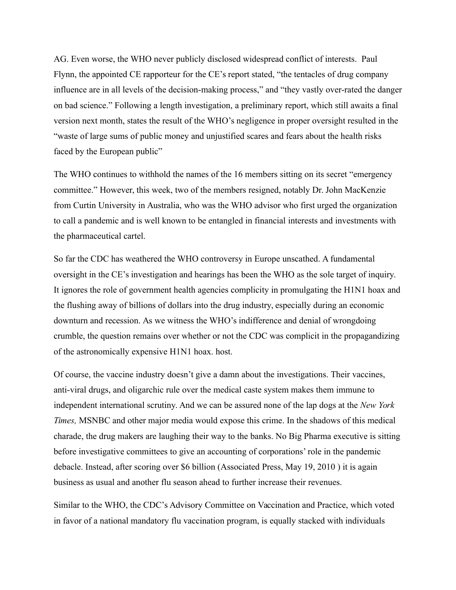AG. Even worse, the WHO never publicly disclosed widespread conflict of interests. Paul Flynn, the appointed CE rapporteur for the CE's report stated, "the tentacles of drug company influence are in all levels of the decision-making process," and "they vastly over-rated the danger on bad science." Following a length investigation, a preliminary report, which still awaits a final version next month, states the result of the WHO's negligence in proper oversight resulted in the "waste of large sums of public money and unjustified scares and fears about the health risks faced by the European public"

The WHO continues to withhold the names of the 16 members sitting on its secret "emergency committee." However, this week, two of the members resigned, notably Dr. John MacKenzie from Curtin University in Australia, who was the WHO advisor who first urged the organization to call a pandemic and is well known to be entangled in financial interests and investments with the pharmaceutical cartel.

So far the CDC has weathered the WHO controversy in Europe unscathed. A fundamental oversight in the CE's investigation and hearings has been the WHO as the sole target of inquiry. It ignores the role of government health agencies complicity in promulgating the H1N1 hoax and the flushing away of billions of dollars into the drug industry, especially during an economic downturn and recession. As we witness the WHO's indifference and denial of wrongdoing crumble, the question remains over whether or not the CDC was complicit in the propagandizing of the astronomically expensive H1N1 hoax. host.

Of course, the vaccine industry doesn't give a damn about the investigations. Their vaccines, anti-viral drugs, and oligarchic rule over the medical caste system makes them immune to independent international scrutiny. And we can be assured none of the lap dogs at the *New York Times,* MSNBC and other major media would expose this crime. In the shadows of this medical charade, the drug makers are laughing their way to the banks. No Big Pharma executive is sitting before investigative committees to give an accounting of corporations' role in the pandemic debacle. Instead, after scoring over \$6 billion (Associated Press, May 19, 2010 ) it is again business as usual and another flu season ahead to further increase their revenues.

Similar to the WHO, the CDC's Advisory Committee on Vaccination and Practice, which voted in favor of a national mandatory flu vaccination program, is equally stacked with individuals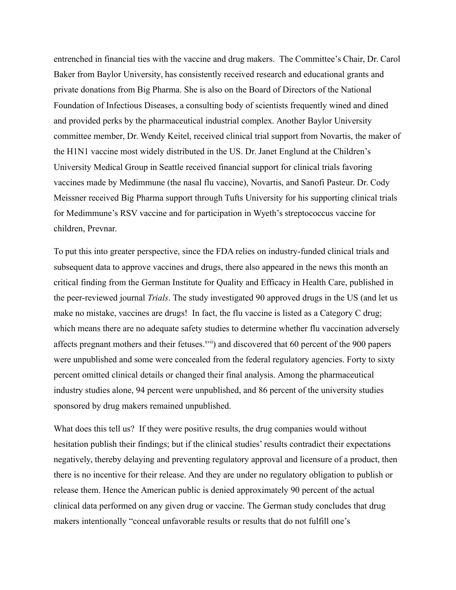entrenched in financial ties with the vaccine and drug makers. The Committee's Chair, Dr. Carol Baker from Baylor University, has consistently received research and educational grants and private donations from Big Pharma. She is also on the Board of Directors of the National Foundation of Infectious Diseases, a consulting body of scientists frequently wined and dined and provided perks by the pharmaceutical industrial complex. Another Baylor University committee member, Dr. Wendy Keitel, received clinical trial support from Novartis, the maker of the H1N1 vaccine most widely distributed in the US. Dr. Janet Englund at the Children's University Medical Group in Seattle received financial support for clinical trials favoring vaccines made by Medimmune (the nasal flu vaccine), Novartis, and Sanofi Pasteur. Dr. Cody Meissner received Big Pharma support through Tufts University for his supporting clinical trials for Medimmune's RSV vaccine and for participation in Wyeth's streptococcus vaccine for children, Prevnar.

To put this into greater perspective, since the FDA relies on industry-funded clinical trials and subsequent data to approve vaccines and drugs, there also appeared in the news this month an critical finding from the German Institute for Quality and Efficacy in Health Care, published in the peer-reviewed journal *Trials*. The study investigated 90 approved drugs in the US (and let us make no mistake, vaccines are drugs! In fact, the flu vaccine is listed as a Category C drug; which means there are no adequate safety studies to determine whether flu vaccination adversely affects pregnant mothers and their fetuses.<sup>xvii</sup>) and discovered that 60 percent of the 900 papers were unpublished and some were concealed from the federal regulatory agencies. Forty to sixty percent omitted clinical details or changed their final analysis. Among the pharmaceutical industry studies alone, 94 percent were unpublished, and 86 percent of the university studies sponsored by drug makers remained unpublished.

What does this tell us? If they were positive results, the drug companies would without hesitation publish their findings; but if the clinical studies' results contradict their expectations negatively, thereby delaying and preventing regulatory approval and licensure of a product, then there is no incentive for their release. And they are under no regulatory obligation to publish or release them. Hence the American public is denied approximately 90 percent of the actual clinical data performed on any given drug or vaccine. The German study concludes that drug makers intentionally "conceal unfavorable results or results that do not fulfill one's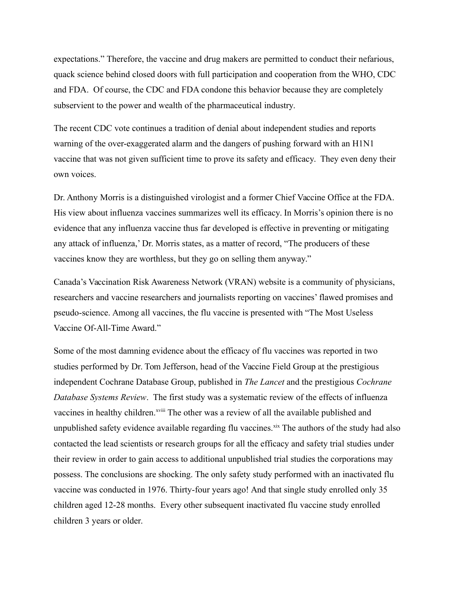expectations." Therefore, the vaccine and drug makers are permitted to conduct their nefarious, quack science behind closed doors with full participation and cooperation from the WHO, CDC and FDA. Of course, the CDC and FDA condone this behavior because they are completely subservient to the power and wealth of the pharmaceutical industry.

The recent CDC vote continues a tradition of denial about independent studies and reports warning of the over-exaggerated alarm and the dangers of pushing forward with an H1N1 vaccine that was not given sufficient time to prove its safety and efficacy. They even deny their own voices.

Dr. Anthony Morris is a distinguished virologist and a former Chief Vaccine Office at the FDA. His view about influenza vaccines summarizes well its efficacy. In Morris's opinion there is no evidence that any influenza vaccine thus far developed is effective in preventing or mitigating any attack of influenza,' Dr. Morris states, as a matter of record, "The producers of these vaccines know they are worthless, but they go on selling them anyway."

Canada's Vaccination Risk Awareness Network (VRAN) website is a community of physicians, researchers and vaccine researchers and journalists reporting on vaccines' flawed promises and pseudo-science. Among all vaccines, the flu vaccine is presented with "The Most Useless Vaccine Of-All-Time Award."

Some of the most damning evidence about the efficacy of flu vaccines was reported in two studies performed by Dr. Tom Jefferson, head of the Vaccine Field Group at the prestigious independent Cochrane Database Group, published in *The Lancet* and the prestigious *Cochrane Database Systems Review*. The first study was a systematic review of the effects of influenza vaccines in healthy children.<sup>xviii</sup> The other was a review of all the available published and unpublished safety evidence available regarding flu vaccines.<sup>xix</sup> The authors of the study had also contacted the lead scientists or research groups for all the efficacy and safety trial studies under their review in order to gain access to additional unpublished trial studies the corporations may possess. The conclusions are shocking. The only safety study performed with an inactivated flu vaccine was conducted in 1976. Thirty-four years ago! And that single study enrolled only 35 children aged 12-28 months. Every other subsequent inactivated flu vaccine study enrolled children 3 years or older.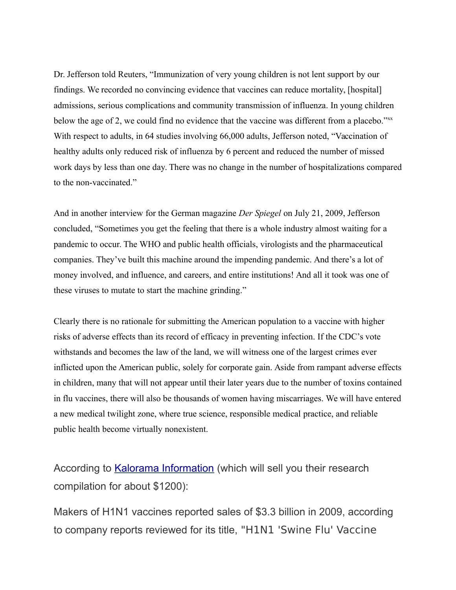Dr. Jefferson told Reuters, "Immunization of very young children is not lent support by our findings. We recorded no convincing evidence that vaccines can reduce mortality, [hospital] admissions, serious complications and community transmission of influenza. In young children below the age of 2, we could find no evidence that the vaccine was different from a placebo."xx With respect to adults, in 64 studies involving 66,000 adults, Jefferson noted, "Vaccination of healthy adults only reduced risk of influenza by 6 percent and reduced the number of missed work days by less than one day. There was no change in the number of hospitalizations compared to the non-vaccinated."

And in another interview for the German magazine *Der Spiegel* on July 21, 2009, Jefferson concluded, "Sometimes you get the feeling that there is a whole industry almost waiting for a pandemic to occur. The WHO and public health officials, virologists and the pharmaceutical companies. They've built this machine around the impending pandemic. And there's a lot of money involved, and influence, and careers, and entire institutions! And all it took was one of these viruses to mutate to start the machine grinding."

Clearly there is no rationale for submitting the American population to a vaccine with higher risks of adverse effects than its record of efficacy in preventing infection. If the CDC's vote withstands and becomes the law of the land, we will witness one of the largest crimes ever inflicted upon the American public, solely for corporate gain. Aside from rampant adverse effects in children, many that will not appear until their later years due to the number of toxins contained in flu vaccines, there will also be thousands of women having miscarriages. We will have entered a new medical twilight zone, where true science, responsible medical practice, and reliable public health become virtually nonexistent.

According to [Kalorama Information](http://www.earthtimes.org/articles/show/pharmaceutical-companies-earned-over-3-billion-on-h1n1-vaccine-report,1291547.shtml) (which will sell you their research compilation for about \$1200):

Makers of H1N1 vaccines reported sales of \$3.3 billion in 2009, according to company reports reviewed for its title, "H1N1 'Swine Flu' Vaccine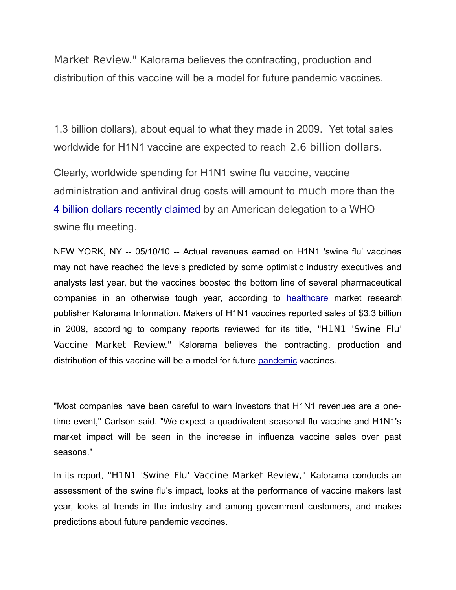Market Review." Kalorama believes the contracting, production and distribution of this vaccine will be a model for future pandemic vaccines.

1.3 billion dollars), about equal to what they made in 2009. Yet total sales worldwide for H1N1 vaccine are expected to reach 2.6 billion dollars.

Clearly, worldwide spending for H1N1 swine flu vaccine, vaccine administration and antiviral drug costs will amount to much more than the [4 billion dollars recently claimed](http://www.reuters.com/article/idUSTRE63B2TL20100412) by an American delegation to a WHO swine flu meeting.

NEW YORK, NY -- 05/10/10 -- Actual revenues earned on H1N1 'swine flu' vaccines may not have reached the levels predicted by some optimistic industry executives and analysts last year, but the vaccines boosted the bottom line of several pharmaceutical companies in an otherwise tough year, according to **healthcare** market research publisher Kalorama Information. Makers of H1N1 vaccines reported sales of \$3.3 billion in 2009, according to company reports reviewed for its title, "H1N1 'Swine Flu' Vaccine Market Review." Kalorama believes the contracting, production and distribution of this vaccine will be a model for future [pandemic](http://www.earthtimes.org/tag/pandemic.html) vaccines.

"Most companies have been careful to warn investors that H1N1 revenues are a onetime event," Carlson said. "We expect a quadrivalent seasonal flu vaccine and H1N1's market impact will be seen in the increase in influenza vaccine sales over past seasons."

In its report, "H1N1 'Swine Flu' Vaccine Market Review," Kalorama conducts an assessment of the swine flu's impact, looks at the performance of vaccine makers last year, looks at trends in the industry and among government customers, and makes predictions about future pandemic vaccines.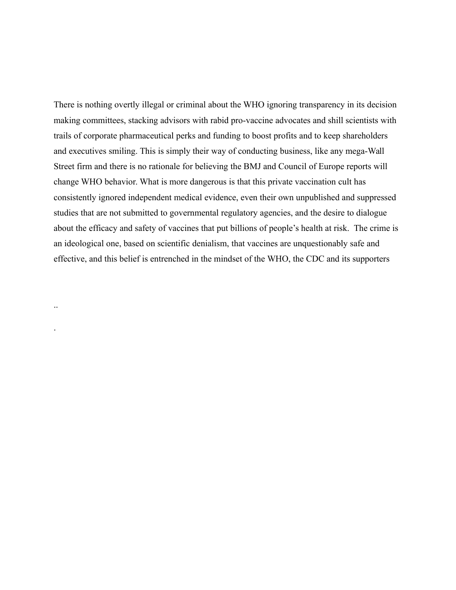There is nothing overtly illegal or criminal about the WHO ignoring transparency in its decision making committees, stacking advisors with rabid pro-vaccine advocates and shill scientists with trails of corporate pharmaceutical perks and funding to boost profits and to keep shareholders and executives smiling. This is simply their way of conducting business, like any mega-Wall Street firm and there is no rationale for believing the BMJ and Council of Europe reports will change WHO behavior. What is more dangerous is that this private vaccination cult has consistently ignored independent medical evidence, even their own unpublished and suppressed studies that are not submitted to governmental regulatory agencies, and the desire to dialogue about the efficacy and safety of vaccines that put billions of people's health at risk. The crime is an ideological one, based on scientific denialism, that vaccines are unquestionably safe and effective, and this belief is entrenched in the mindset of the WHO, the CDC and its supporters

..

.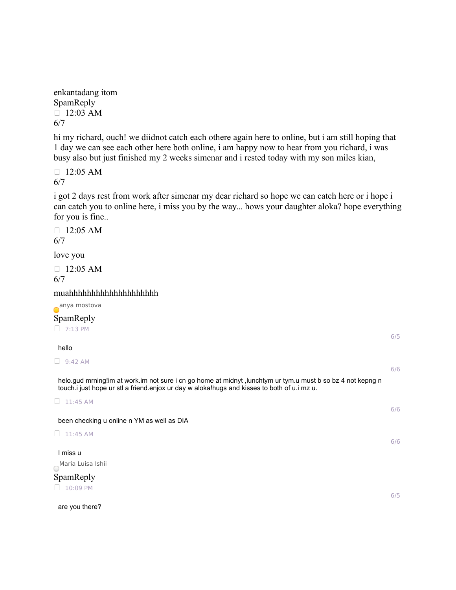enkantadang itom SpamReply  $\Box$  12:03 AM 6/7

hi my richard, ouch! we diidnot catch each othere again here to online, but i am still hoping that 1 day we can see each other here both online, i am happy now to hear from you richard, i was busy also but just finished my 2 weeks simenar and i rested today with my son miles kian,

 $\Box$  12:05 AM 6/7

i got 2 days rest from work after simenar my dear richard so hope we can catch here or i hope i can catch you to online here, i miss you by the way... hows your daughter aloka? hope everything for you is fine..

 $\Box$  12:05 AM 6/7

love you

 $\Box$  12:05 AM 6/7

muahhhhhhhhhhhhhhhhhhhh

anya mostova SpamReply  $\Box$  7:13 PM

hello

 $\Box$  9:42 AM

helo.gud mrning!im at work.im not sure i cn go home at midnyt ,lunchtym ur tym.u must b so bz 4 not kepng n touch.i just hope ur stl a friend.enjox ur day w aloka!hugs and kisses to both of u.i mz u.

 $\Box$  11:45 AM

been checking u online n YM as well as DIA

 $\Box$  11:45 AM

I miss u Maria Luisa Ishii

SpamReply  $10:09$  PM

are you there?

6/5

6/6

6/6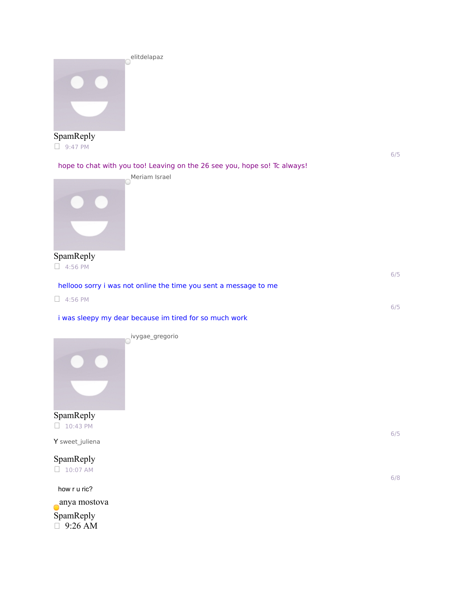

SpamReply  $\Box$  9:47 PM

6/5

6/5

6/5

hope to chat with you too! Leaving on the 26 see you, hope so! Tc always!



SpamReply  $\Box$  4:56 PM

hellooo sorry i was not online the time you sent a message to me

 $\Box$  4:56 PM

i was sleepy my dear because im tired for so much work

ivygae\_gregorio



SpamReply  $\Box$  10:43 PM

Y sweet\_juliena



how r u ric? anya mostova SpamReply 9:26 AM

6/8

6/5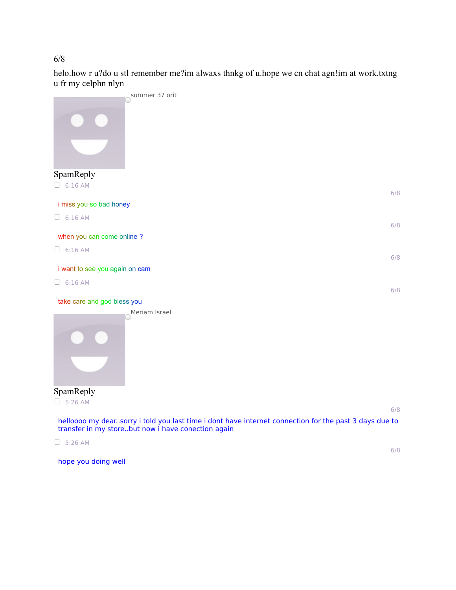## 6/8

helo.how r u?do u stl remember me?im alwaxs thnkg of u.hope we cn chat agn!im at work.txtng u fr my celphn nlyn



 $\Box$  5:26 AM

hope you doing well

6/8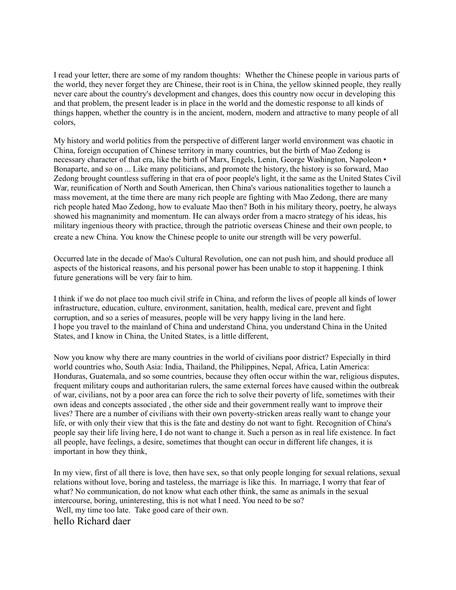I read your letter, there are some of my random thoughts: Whether the Chinese people in various parts of the world, they never forget they are Chinese, their root is in China, the yellow skinned people, they really never care about the country's development and changes, does this country now occur in developing this and that problem, the present leader is in place in the world and the domestic response to all kinds of things happen, whether the country is in the ancient, modern, modern and attractive to many people of all colors,

My history and world politics from the perspective of different larger world environment was chaotic in China, foreign occupation of Chinese territory in many countries, but the birth of Mao Zedong is necessary character of that era, like the birth of Marx, Engels, Lenin, George Washington, Napoleon • Bonaparte, and so on ... Like many politicians, and promote the history, the history is so forward, Mao Zedong brought countless suffering in that era of poor people's light, it the same as the United States Civil War, reunification of North and South American, then China's various nationalities together to launch a mass movement, at the time there are many rich people are fighting with Mao Zedong, there are many rich people hated Mao Zedong, how to evaluate Mao then? Both in his military theory, poetry, he always showed his magnanimity and momentum. He can always order from a macro strategy of his ideas, his military ingenious theory with practice, through the patriotic overseas Chinese and their own people, to create a new China. You know the Chinese people to unite our strength will be very powerful.

Occurred late in the decade of Mao's Cultural Revolution, one can not push him, and should produce all aspects of the historical reasons, and his personal power has been unable to stop it happening. I think future generations will be very fair to him.

I think if we do not place too much civil strife in China, and reform the lives of people all kinds of lower infrastructure, education, culture, environment, sanitation, health, medical care, prevent and fight corruption, and so a series of measures, people will be very happy living in the land here. I hope you travel to the mainland of China and understand China, you understand China in the United States, and I know in China, the United States, is a little different,

Now you know why there are many countries in the world of civilians poor district? Especially in third world countries who, South Asia: India, Thailand, the Philippines, Nepal, Africa, Latin America: Honduras, Guatemala, and so some countries, because they often occur within the war, religious disputes, frequent military coups and authoritarian rulers, the same external forces have caused within the outbreak of war, civilians, not by a poor area can force the rich to solve their poverty of life, sometimes with their own ideas and concepts associated , the other side and their government really want to improve their lives? There are a number of civilians with their own poverty-stricken areas really want to change your life, or with only their view that this is the fate and destiny do not want to fight. Recognition of China's people say their life living here, I do not want to change it. Such a person as in real life existence. In fact all people, have feelings, a desire, sometimes that thought can occur in different life changes, it is important in how they think,

In my view, first of all there is love, then have sex, so that only people longing for sexual relations, sexual relations without love, boring and tasteless, the marriage is like this. In marriage, I worry that fear of what? No communication, do not know what each other think, the same as animals in the sexual intercourse, boring, uninteresting, this is not what I need. You need to be so? Well, my time too late. Take good care of their own.

hello Richard daer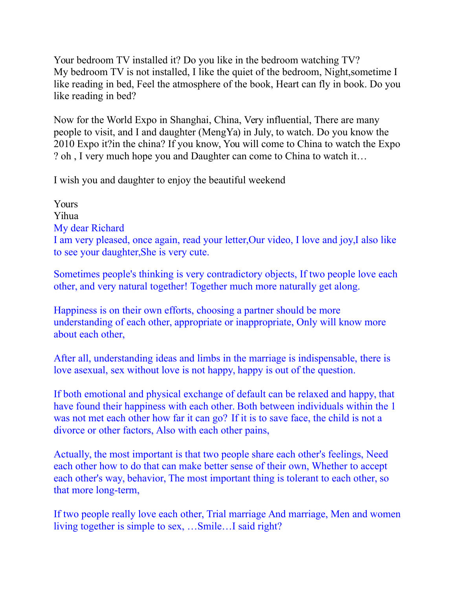Your bedroom TV installed it? Do you like in the bedroom watching TV? My bedroom TV is not installed, I like the quiet of the bedroom, Night,sometime I like reading in bed, Feel the atmosphere of the book, Heart can fly in book. Do you like reading in bed?

Now for the World Expo in Shanghai, China, Very influential, There are many people to visit, and I and daughter (MengYa) in July, to watch. Do you know the 2010 Expo it?in the china? If you know, You will come to China to watch the Expo ? oh , I very much hope you and Daughter can come to China to watch it…

I wish you and daughter to enjoy the beautiful weekend

Yours Yihua My dear Richard I am very pleased, once again, read your letter,Our video, I love and joy,I also like to see your daughter,She is very cute.

Sometimes people's thinking is very contradictory objects, If two people love each other, and very natural together! Together much more naturally get along.

Happiness is on their own efforts, choosing a partner should be more understanding of each other, appropriate or inappropriate, Only will know more about each other,

After all, understanding ideas and limbs in the marriage is indispensable, there is love asexual, sex without love is not happy, happy is out of the question.

If both emotional and physical exchange of default can be relaxed and happy, that have found their happiness with each other. Both between individuals within the 1 was not met each other how far it can go? If it is to save face, the child is not a divorce or other factors, Also with each other pains,

Actually, the most important is that two people share each other's feelings, Need each other how to do that can make better sense of their own, Whether to accept each other's way, behavior, The most important thing is tolerant to each other, so that more long-term,

If two people really love each other, Trial marriage And marriage, Men and women living together is simple to sex, …Smile…I said right?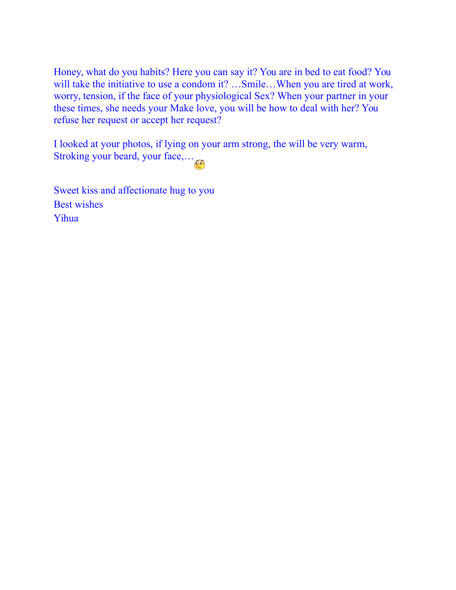Honey, what do you habits? Here you can say it? You are in bed to eat food? You will take the initiative to use a condom it? ... Smile... When you are tired at work, worry, tension, if the face of your physiological Sex? When your partner in your these times, she needs your Make love, you will be how to deal with her? You refuse her request or accept her request?

I looked at your photos, if lying on your arm strong, the will be very warm, Stroking your beard, your face,…

Sweet kiss and affectionate hug to you Best wishes Yihua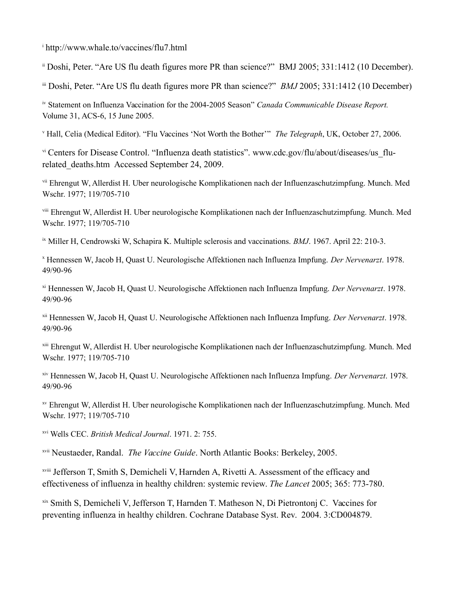<sup>i</sup> http://www.whale.to/vaccines/flu7.html

ii Doshi, Peter. "Are US flu death figures more PR than science?" BMJ 2005; 331:1412 (10 December).

iii Doshi, Peter. "Are US flu death figures more PR than science?" *BMJ* 2005; 331:1412 (10 December)

iv Statement on Influenza Vaccination for the 2004-2005 Season" *Canada Communicable Disease Report.* Volume 31, ACS-6, 15 June 2005.

v Hall, Celia (Medical Editor). "Flu Vaccines 'Not Worth the Bother'" *The Telegraph*, UK, October 27, 2006.

vi Centers for Disease Control. "Influenza death statistics". www.cdc.gov/flu/about/diseases/us flurelated\_deaths.htm Accessed September 24, 2009.

vii Ehrengut W, Allerdist H. Uber neurologische Komplikationen nach der Influenzaschutzimpfung. Munch. Med Wschr. 1977; 119/705-710

viii Ehrengut W, Allerdist H. Uber neurologische Komplikationen nach der Influenzaschutzimpfung. Munch. Med Wschr. 1977; 119/705-710

ix Miller H, Cendrowski W, Schapira K. Multiple sclerosis and vaccinations. *BMJ*. 1967. April 22: 210-3.

x Hennessen W, Jacob H, Quast U. Neurologische Affektionen nach Influenza Impfung. *Der Nervenarzt*. 1978. 49/90-96

xi Hennessen W, Jacob H, Quast U. Neurologische Affektionen nach Influenza Impfung. *Der Nervenarzt*. 1978. 49/90-96

xii Hennessen W, Jacob H, Quast U. Neurologische Affektionen nach Influenza Impfung. *Der Nervenarzt*. 1978. 49/90-96

xiii Ehrengut W, Allerdist H. Uber neurologische Komplikationen nach der Influenzaschutzimpfung. Munch. Med Wschr. 1977; 119/705-710

xiv Hennessen W, Jacob H, Quast U. Neurologische Affektionen nach Influenza Impfung. *Der Nervenarzt*. 1978. 49/90-96

xv Ehrengut W, Allerdist H. Uber neurologische Komplikationen nach der Influenzaschutzimpfung. Munch. Med Wschr. 1977; 119/705-710

xvi Wells CEC. *British Medical Journal*. 1971. 2: 755.

xvii Neustaeder, Randal. *The Vaccine Guide*. North Atlantic Books: Berkeley, 2005.

xviii Jefferson T, Smith S, Demicheli V, Harnden A, Rivetti A. Assessment of the efficacy and effectiveness of influenza in healthy children: systemic review. *The Lancet* 2005; 365: 773-780.

xix Smith S, Demicheli V, Jefferson T, Harnden T. Matheson N, Di Pietrontonj C. Vaccines for preventing influenza in healthy children. Cochrane Database Syst. Rev. 2004. 3:CD004879.